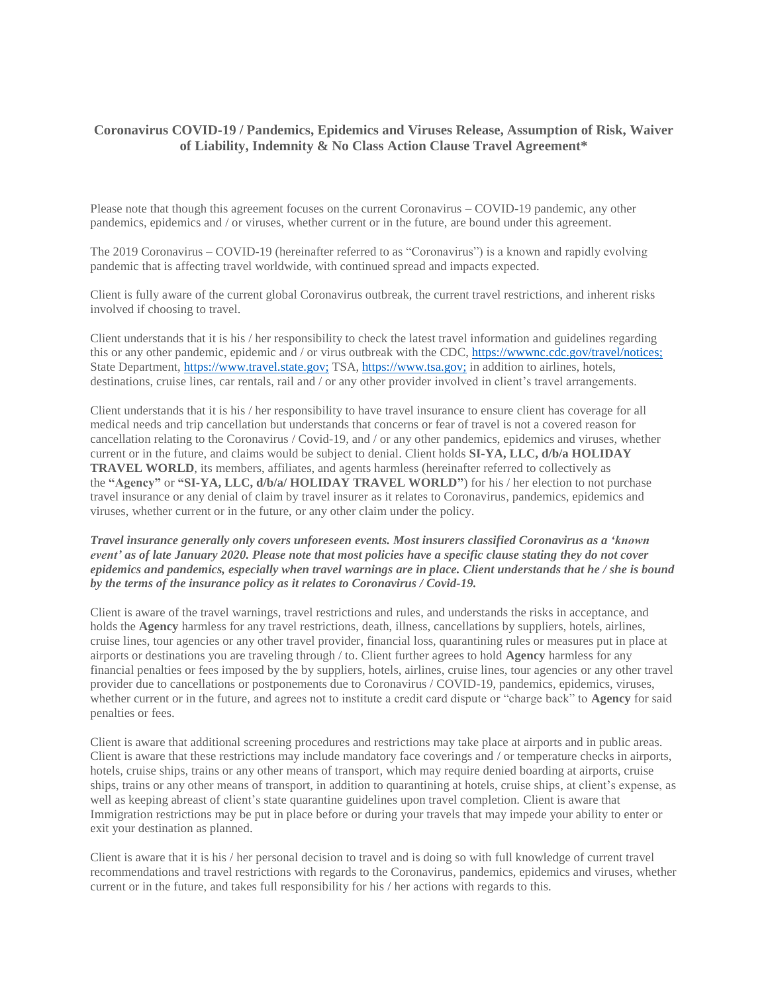## **Coronavirus COVID-19 / Pandemics, Epidemics and Viruses Release, Assumption of Risk, Waiver of Liability, Indemnity & No Class Action Clause Travel Agreement\***

Please note that though this agreement focuses on the current Coronavirus – COVID-19 pandemic, any other pandemics, epidemics and / or viruses, whether current or in the future, are bound under this agreement.

The 2019 Coronavirus – COVID-19 (hereinafter referred to as "Coronavirus") is a known and rapidly evolving pandemic that is affecting travel worldwide, with continued spread and impacts expected.

Client is fully aware of the current global Coronavirus outbreak, the current travel restrictions, and inherent risks involved if choosing to travel.

Client understands that it is his / her responsibility to check the latest travel information and guidelines regarding this or any other pandemic, epidemic and / or virus outbreak with the CDC, [https://wwwnc.cdc.gov/travel/notices;](https://wwwnc.cdc.gov/travel/notices) State Department, [https://www.travel.state.gov;](https://www.travel.state.gov/) TSA, [https://www.tsa.gov;](https://www.tsa.gov/) in addition to airlines, hotels, destinations, cruise lines, car rentals, rail and / or any other provider involved in client's travel arrangements.

Client understands that it is his / her responsibility to have travel insurance to ensure client has coverage for all medical needs and trip cancellation but understands that concerns or fear of travel is not a covered reason for cancellation relating to the Coronavirus / Covid-19, and / or any other pandemics, epidemics and viruses, whether current or in the future, and claims would be subject to denial. Client holds **SI-YA, LLC, d/b/a HOLIDAY TRAVEL WORLD**, its members, affiliates, and agents harmless (hereinafter referred to collectively as the **"Agency"** or **"SI-YA, LLC, d/b/a/ HOLIDAY TRAVEL WORLD"**) for his / her election to not purchase travel insurance or any denial of claim by travel insurer as it relates to Coronavirus, pandemics, epidemics and viruses, whether current or in the future, or any other claim under the policy.

## *Travel insurance generally only covers unforeseen events. Most insurers classified Coronavirus as a 'known* event' as of late January 2020. Please note that most policies have a specific clause stating they do not cover epidemics and pandemics, especially when travel warnings are in place. Client understands that he / she is bound *by the terms of the insurance policy as it relates to Coronavirus / Covid-19.*

Client is aware of the travel warnings, travel restrictions and rules, and understands the risks in acceptance, and holds the **Agency** harmless for any travel restrictions, death, illness, cancellations by suppliers, hotels, airlines, cruise lines, tour agencies or any other travel provider, financial loss, quarantining rules or measures put in place at airports or destinations you are traveling through / to. Client further agrees to hold **Agency** harmless for any financial penalties or fees imposed by the by suppliers, hotels, airlines, cruise lines, tour agencies or any other travel provider due to cancellations or postponements due to Coronavirus / COVID-19, pandemics, epidemics, viruses, whether current or in the future, and agrees not to institute a credit card dispute or "charge back" to **Agency** for said penalties or fees.

Client is aware that additional screening procedures and restrictions may take place at airports and in public areas. Client is aware that these restrictions may include mandatory face coverings and / or temperature checks in airports, hotels, cruise ships, trains or any other means of transport, which may require denied boarding at airports, cruise ships, trains or any other means of transport, in addition to quarantining at hotels, cruise ships, at client's expense, as well as keeping abreast of client's state quarantine guidelines upon travel completion. Client is aware that Immigration restrictions may be put in place before or during your travels that may impede your ability to enter or exit your destination as planned.

Client is aware that it is his / her personal decision to travel and is doing so with full knowledge of current travel recommendations and travel restrictions with regards to the Coronavirus, pandemics, epidemics and viruses, whether current or in the future, and takes full responsibility for his / her actions with regards to this.